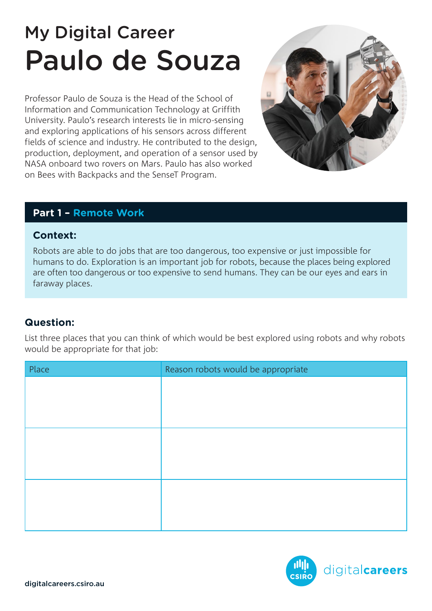# My Digital Career Paulo de Souza

Professor Paulo de Souza is the Head of the School of Information and Communication Technology at Griffith University. Paulo's research interests lie in micro-sensing and exploring applications of his sensors across different fields of science and industry. He contributed to the design, production, deployment, and operation of a sensor used by NASA onboard two rovers on Mars. Paulo has also worked on Bees with Backpacks and the SenseT Program.



## **Part 1 – Remote Work**

### **Context:**

Robots are able to do jobs that are too dangerous, too expensive or just impossible for humans to do. Exploration is an important job for robots, because the places being explored are often too dangerous or too expensive to send humans. They can be our eyes and ears in faraway places.

# **Question:**

List three places that you can think of which would be best explored using robots and why robots would be appropriate for that job:

| Place | Reason robots would be appropriate |
|-------|------------------------------------|
|       |                                    |
|       |                                    |
|       |                                    |
|       |                                    |
|       |                                    |
|       |                                    |
|       |                                    |
|       |                                    |
|       |                                    |

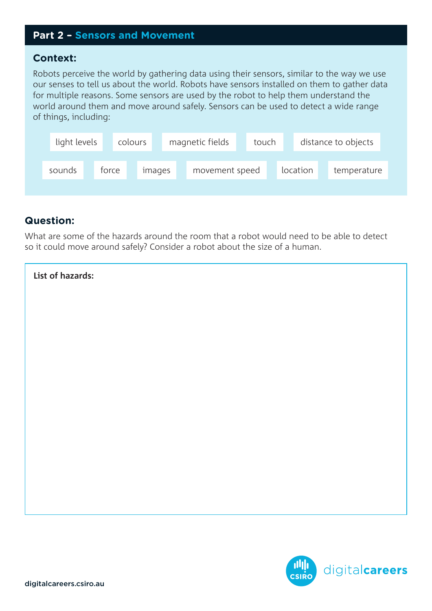## **Part 2 – Sensors and Movement**

#### **Context:**

Robots perceive the world by gathering data using their sensors, similar to the way we use our senses to tell us about the world. Robots have sensors installed on them to gather data for multiple reasons. Some sensors are used by the robot to help them understand the world around them and move around safely. Sensors can be used to detect a wide range of things, including:

|                                                         | light levels | colours | magnetic fields | touch | distance to objects |
|---------------------------------------------------------|--------------|---------|-----------------|-------|---------------------|
| location<br>movement speed<br>sounds<br>torce<br>images |              |         |                 |       | temperature         |

## **Question:**

What are some of the hazards around the room that a robot would need to be able to detect so it could move around safely? Consider a robot about the size of a human.

| List of hazards: |  |
|------------------|--|
|                  |  |
|                  |  |
|                  |  |
|                  |  |
|                  |  |
|                  |  |
|                  |  |
|                  |  |
|                  |  |
|                  |  |

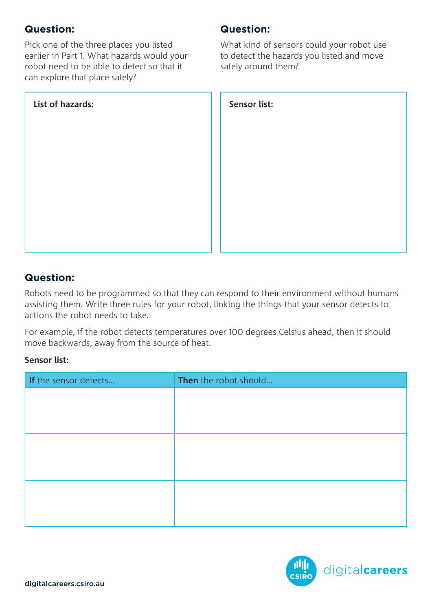# **Question:**

Pick one of the three places you listed earlier in Part 1. What hazards would your robot need to be able to detect so that it can explore that place safely?

| List of hazards: | Sensor list: |
|------------------|--------------|
|                  |              |
|                  |              |
|                  |              |
|                  |              |
|                  |              |

# **Question:**

What kind of sensors could your robot use to detect the hazards you listed and move safely around them?

| Sensor list: |  |
|--------------|--|
|              |  |
|              |  |
|              |  |
|              |  |
|              |  |
|              |  |
|              |  |
|              |  |
|              |  |
|              |  |
|              |  |
|              |  |
|              |  |
|              |  |
|              |  |
|              |  |
|              |  |
|              |  |
|              |  |
|              |  |
|              |  |
|              |  |
|              |  |
|              |  |

# **Question:**

Robots need to be programmed so that they can respond to their environment without humans assisting them. Write three rules for your robot, linking the things that your sensor detects to actions the robot needs to take.

For example, if the robot detects temperatures over 100 degrees Celsius ahead, then it should move backwards, away from the source of heat.

#### **Sensor list:**

| If the sensor detects | Then the robot should |
|-----------------------|-----------------------|
|                       |                       |
|                       |                       |
|                       |                       |
|                       |                       |
|                       |                       |
|                       |                       |
|                       |                       |
|                       |                       |
|                       |                       |